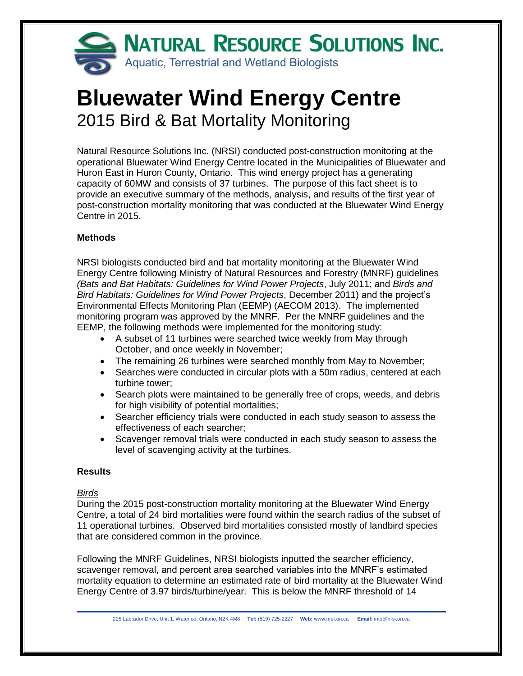

# **Bluewater Wind Energy Centre** 2015 Bird & Bat Mortality Monitoring

Natural Resource Solutions Inc. (NRSI) conducted post-construction monitoring at the operational Bluewater Wind Energy Centre located in the Municipalities of Bluewater and Huron East in Huron County, Ontario. This wind energy project has a generating capacity of 60MW and consists of 37 turbines. The purpose of this fact sheet is to provide an executive summary of the methods, analysis, and results of the first year of post-construction mortality monitoring that was conducted at the Bluewater Wind Energy Centre in 2015.

## **Methods**

NRSI biologists conducted bird and bat mortality monitoring at the Bluewater Wind Energy Centre following Ministry of Natural Resources and Forestry (MNRF) guidelines *(Bats and Bat Habitats: Guidelines for Wind Power Projects*, July 2011; and *Birds and Bird Habitats: Guidelines for Wind Power Projects*, December 2011) and the project's Environmental Effects Monitoring Plan (EEMP) (AECOM 2013). The implemented monitoring program was approved by the MNRF. Per the MNRF guidelines and the EEMP, the following methods were implemented for the monitoring study:

- A subset of 11 turbines were searched twice weekly from May through October, and once weekly in November;
- The remaining 26 turbines were searched monthly from May to November;
- Searches were conducted in circular plots with a 50m radius, centered at each turbine tower;
- Search plots were maintained to be generally free of crops, weeds, and debris for high visibility of potential mortalities;
- Searcher efficiency trials were conducted in each study season to assess the effectiveness of each searcher;
- Scavenger removal trials were conducted in each study season to assess the level of scavenging activity at the turbines.

## **Results**

## *Birds*

During the 2015 post-construction mortality monitoring at the Bluewater Wind Energy Centre, a total of 24 bird mortalities were found within the search radius of the subset of 11 operational turbines. Observed bird mortalities consisted mostly of landbird species that are considered common in the province.

Following the MNRF Guidelines, NRSI biologists inputted the searcher efficiency, scavenger removal, and percent area searched variables into the MNRF's estimated mortality equation to determine an estimated rate of bird mortality at the Bluewater Wind Energy Centre of 3.97 birds/turbine/year. This is below the MNRF threshold of 14